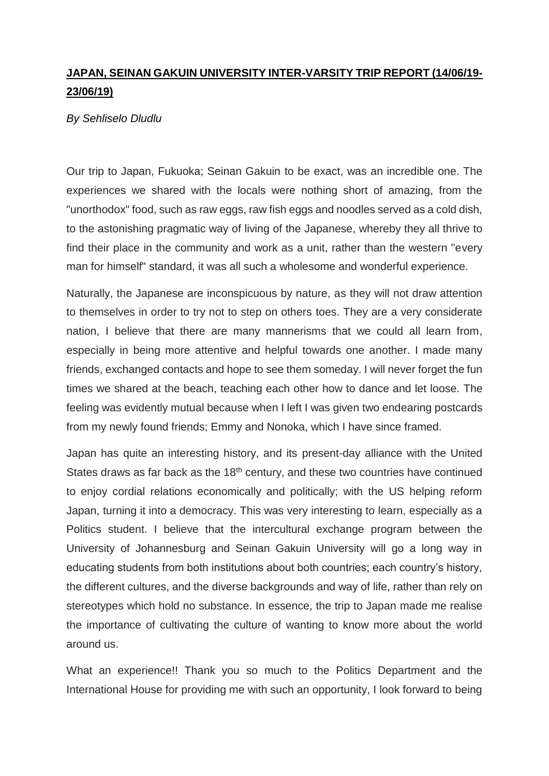## **JAPAN, SEINAN GAKUIN UNIVERSITY INTER-VARSITY TRIP REPORT (14/06/19- 23/06/19)**

## *By Sehliselo Dludlu*

Our trip to Japan, Fukuoka; Seinan Gakuin to be exact, was an incredible one. The experiences we shared with the locals were nothing short of amazing, from the "unorthodox" food, such as raw eggs, raw fish eggs and noodles served as a cold dish, to the astonishing pragmatic way of living of the Japanese, whereby they all thrive to find their place in the community and work as a unit, rather than the western "every man for himself" standard, it was all such a wholesome and wonderful experience.

Naturally, the Japanese are inconspicuous by nature, as they will not draw attention to themselves in order to try not to step on others toes. They are a very considerate nation, I believe that there are many mannerisms that we could all learn from, especially in being more attentive and helpful towards one another. I made many friends, exchanged contacts and hope to see them someday. I will never forget the fun times we shared at the beach, teaching each other how to dance and let loose. The feeling was evidently mutual because when I left I was given two endearing postcards from my newly found friends; Emmy and Nonoka, which I have since framed.

Japan has quite an interesting history, and its present-day alliance with the United States draws as far back as the 18<sup>th</sup> century, and these two countries have continued to enjoy cordial relations economically and politically; with the US helping reform Japan, turning it into a democracy. This was very interesting to learn, especially as a Politics student. I believe that the intercultural exchange program between the University of Johannesburg and Seinan Gakuin University will go a long way in educating students from both institutions about both countries; each country's history, the different cultures, and the diverse backgrounds and way of life, rather than rely on stereotypes which hold no substance. In essence, the trip to Japan made me realise the importance of cultivating the culture of wanting to know more about the world around us.

What an experience!! Thank you so much to the Politics Department and the International House for providing me with such an opportunity, I look forward to being